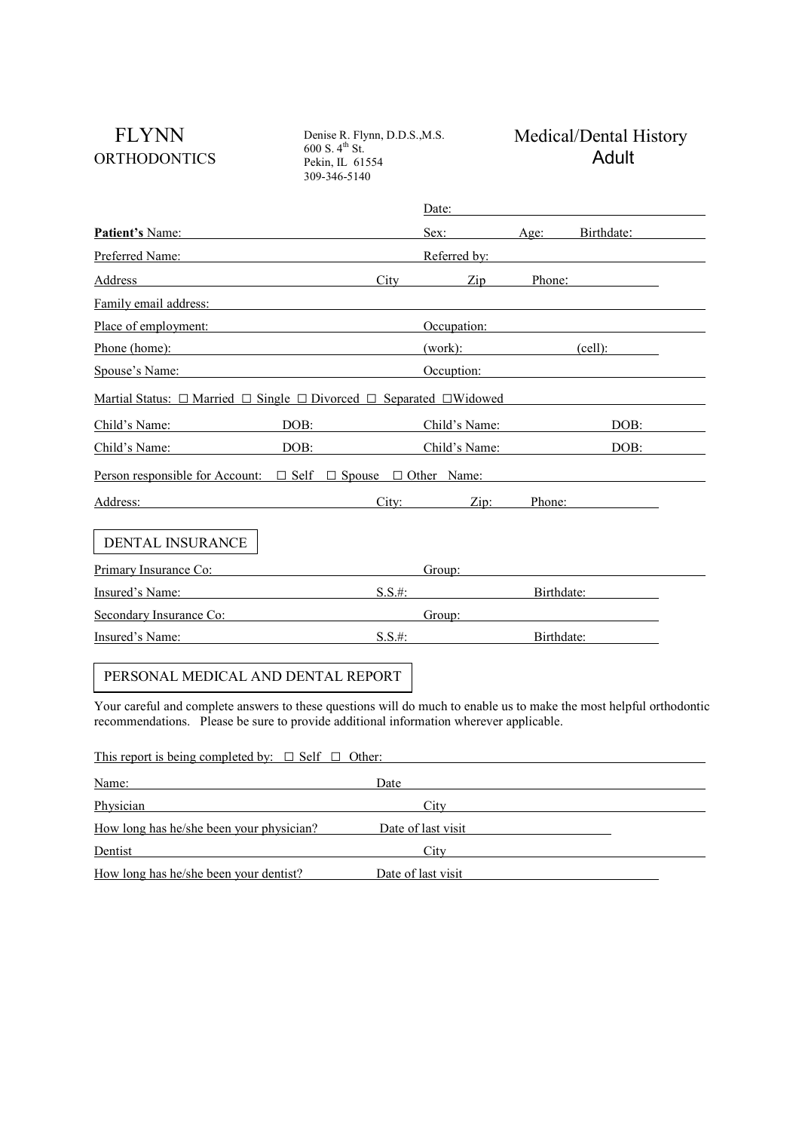ORTHODONTICS <sup>600</sup> S.<sup>4th</sup> St.<br>Pekin, IL 61554 **Adult** Denise R. Flynn, D.D.S.,M.S.  $600 S. 4<sup>th</sup> St.$ Pekin, IL 61554 309-346-5140

## FLYNN Denise R. Flynn, D.D.S., M.S. Medical/Dental History

|                                                                                                                      | Date:        |               |            |            |  |  |
|----------------------------------------------------------------------------------------------------------------------|--------------|---------------|------------|------------|--|--|
| Patient's Name:                                                                                                      |              | Sex:          | $A2e$ :    | Birthdate: |  |  |
| Preferred Name:                                                                                                      | Referred by: |               |            |            |  |  |
| Address                                                                                                              | City         | Zip           | Phone:     |            |  |  |
| Family email address:                                                                                                |              |               |            |            |  |  |
| Place of employment:                                                                                                 |              | Occupation:   |            |            |  |  |
| Phone (home):                                                                                                        |              | (work):       |            | (cell):    |  |  |
| Spouse's Name:                                                                                                       |              | Occuption:    |            |            |  |  |
| Martial Status: $\Box$ Married $\Box$ Single $\Box$ Divorced $\Box$ Separated $\Box$ Widowed                         |              |               |            |            |  |  |
| DOB:<br>Child's Name:                                                                                                |              | Child's Name: |            | DOB:       |  |  |
| DOB:<br>Child's Name:                                                                                                |              | Child's Name: |            | DOB:       |  |  |
| <u>Person responsible for Account: <math>\Box</math> Self <math>\Box</math> Spouse <math>\Box</math> Other Name:</u> |              |               |            |            |  |  |
| Address:                                                                                                             | City:        | Zip:          | Phone:     |            |  |  |
| DENTAL INSURANCE                                                                                                     |              |               |            |            |  |  |
| Primary Insurance Co:                                                                                                |              | Group:        |            |            |  |  |
| Insured's Name:                                                                                                      | $S.S.$ #:    |               | Birthdate: |            |  |  |
| Secondary Insurance Co:                                                                                              |              | Group:        |            |            |  |  |
| Insured's Name:                                                                                                      | $S.S.$ #:    |               | Birthdate: |            |  |  |
| PERSONAL MEDICAL AND DENTAL REPORT                                                                                   |              |               |            |            |  |  |

Your careful and complete answers to these questions will do much to enable us to make the most helpful orthodontic recommendations. Please be sure to provide additional information wherever applicable.

| This report is being completed by: $\Box$ Self $\Box$ Other: |                    |  |  |  |  |  |  |
|--------------------------------------------------------------|--------------------|--|--|--|--|--|--|
| Name:                                                        | Date               |  |  |  |  |  |  |
| Physician                                                    | City               |  |  |  |  |  |  |
| How long has he/she been your physician?                     | Date of last visit |  |  |  |  |  |  |
| Dentist                                                      | City               |  |  |  |  |  |  |
| How long has he/she been your dentist?                       | Date of last visit |  |  |  |  |  |  |